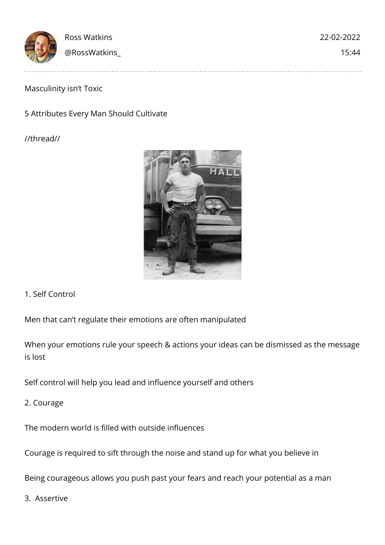|              | 22-02-2022   |
|--------------|--------------|
| @RossWatkins | 15:44        |
|              | Ross Watkins |

## Masculinity isn't Toxic

## 5 Attributes Every Man Should Cultivate

//thread//



1. Self Control

Men that can't regulate their emotions are often manipulated

When your emotions rule your speech & actions your ideas can be dismissed as the message is lost

Self control will help you lead and influence yourself and others

2. Courage

The modern world is filled with outside influences

Courage is required to sift through the noise and stand up for what you believe in

Being courageous allows you push past your fears and reach your potential as a man

3. Assertive